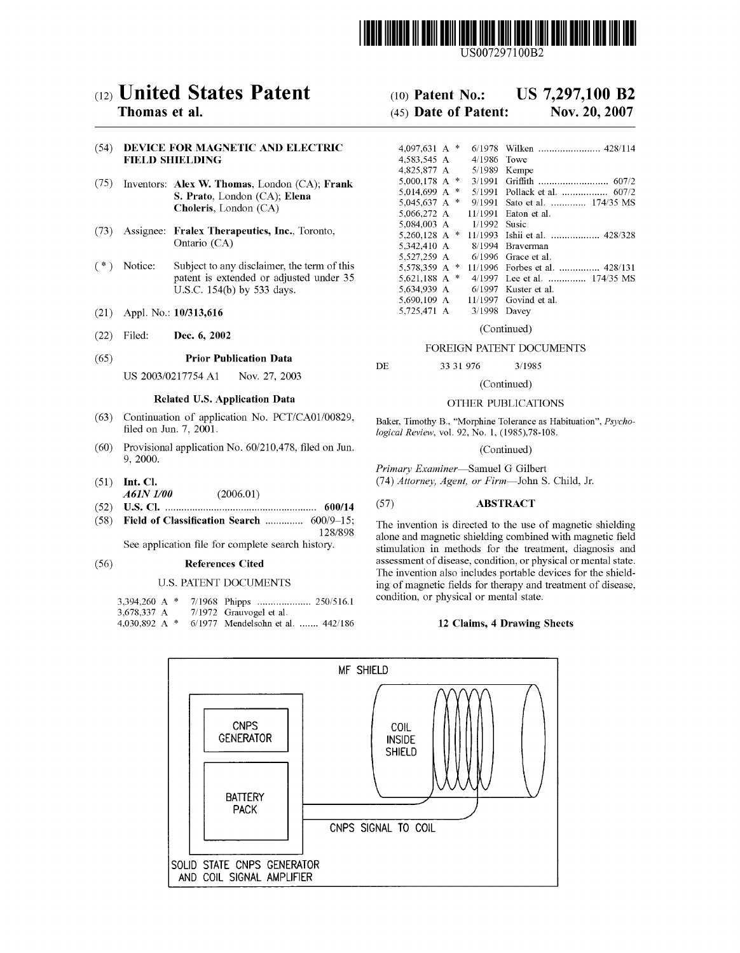

US007297100B2

# (12) United States Patent

# Thomas et al.

# (54) DEVICE FOR MAGNETIC AND ELECTRIC **FIELD SHIELDING**

- (75) Inventors: Alex W. Thomas, London (CA); Frank S. Prato, London (CA); Elena Choleris, London (CA)
- Assignee: Fralex Therapeutics, Inc., Toronto,  $(73)$ Ontario (CA)
- $(* )$  Notice: Subject to any disclaimer, the term of this patent is extended or adjusted under 35 U.S.C. 154(b) by 533 days.
- (21) Appl. No.: 10/313,616
- $(22)$  Filed: Dec. 6, 2002

#### $(65)$ **Prior Publication Data**

US 2003/0217754 A1 Nov. 27, 2003

# Related U.S. Application Data

- Continuation of application No. PCT/CA01/00829,  $(63)$ filed on Jun. 7, 2001.
- (60) Provisional application No. 60/210,478, filed on Jun. 9, 2000.
- $(51)$  Int. Cl.
- $(2006.01)$ **A61N 1/00**
- 
- (58) Field of Classification Search .............. 600/9-15; 128/898

See application file for complete search history.

#### $(56)$ **References Cited**

# **U.S. PATENT DOCUMENTS**

| 3.678.337 A |  | 7/1972 Grauvogel et al.                           |
|-------------|--|---------------------------------------------------|
|             |  | 4.030.892 A $*$ 6/1977 Mendelsohn et al.  442/186 |

#### US 7,297,100 B2  $(10)$  Patent No.:

#### (45) Date of Patent: Nov. 20, 2007

| 4.097.631 A | $\ast$        | 6/1978  |                        |
|-------------|---------------|---------|------------------------|
| 4.583.545 A |               | 4/1986  | Towe                   |
| 4.825.877 A |               | 5/1989  | Kempe                  |
| 5.000.178 A | $\frac{1}{2}$ | 3/1991  |                        |
| 5.014.699 A | $\frac{1}{2}$ | 5/1991  |                        |
| 5.045.637 A | 冰             | 9/1991  | Sato et al.  174/35 MS |
| 5,066,272 A |               | 11/1991 | Eaton et al.           |
| 5,084,003 A |               | 1/1992  | Susic                  |
| 5,260,128 A | $\ast$        | 11/1993 | Ishii et al.  428/328  |
| 5.342.410 A |               | 8/1994  | <b>Braverman</b>       |
| 5,527,259 A |               | 6/1996  | Grace et al.           |
| 5.578.359 A | 幸             | 11/1996 | Forbes et al.  428/131 |
| 5.621.188 A | 啄             | 4/1997  | Lee et al.  174/35 MS  |
| 5.634.939 A |               | 6/1997  | Kuster et al.          |
| 5.690.109 A |               | 11/1997 | Govind et al.          |
| 5.725.471 A |               | 3/1998  | Davey                  |

## (Continued)

#### FOREIGN PATENT DOCUMENTS

#### 33 31 976 3/1985

 $DE$ 

(Continued)

# OTHER PUBLICATIONS

Baker, Timothy B., "Morphine Tolerance as Habituation", Psychological Review, vol. 92, No. 1, (1985), 78-108.

(Continued)

Primary Examiner-Samuel G Gilbert

(74) Attorney, Agent, or Firm-John S. Child, Jr.

#### $(57)$ **ABSTRACT**

The invention is directed to the use of magnetic shielding alone and magnetic shielding combined with magnetic field stimulation in methods for the treatment, diagnosis and assessment of disease, condition, or physical or mental state. The invention also includes portable devices for the shielding of magnetic fields for therapy and treatment of disease, condition, or physical or mental state.

# 12 Claims, 4 Drawing Sheets

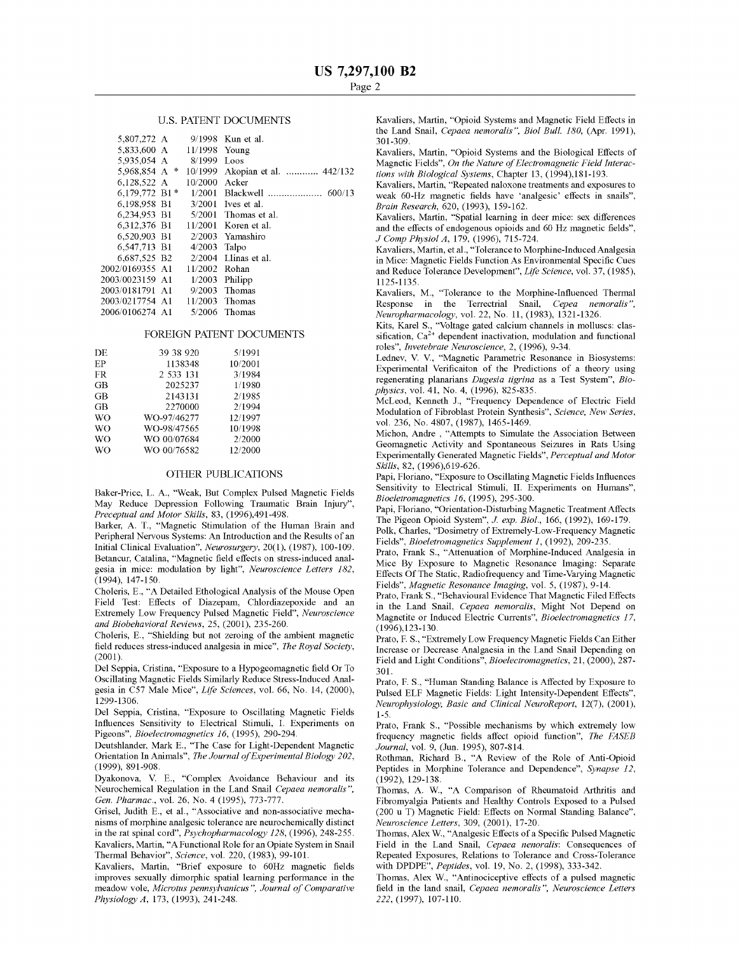#### U.S. PATENT DOCUMENTS

| 5,807,272 A     |   | 9/1998  | Kun et al.              |
|-----------------|---|---------|-------------------------|
| 5,833,600 A     |   | 11/1998 | Young                   |
| 5,935,054 A     |   | 8/1999  | Loos                    |
| 5,968,854 A     | ÷ | 10/1999 | Akopian et al.  442/132 |
| 6,128,522 A     |   | 10/2000 | Acker                   |
| 6,179,772 B1*   |   | 1/2001  |                         |
| 6,198,958 B1    |   | 3/2001  | Ives et al.             |
| 6,234,953 B1    |   | 5/2001  | Thomas et al.           |
| 6,312,376 B1    |   | 11/2001 | Koren et al.            |
| 6.520.903 B1    |   |         | 2/2003 Yamashiro        |
| 6.547.713 B1    |   | 4/2003  | Talpo                   |
| 6.687.525 B2    |   | 2/2004  | Llinas et al.           |
| 2002/0169355 A1 |   | 11/2002 | Rohan                   |
| 2003/0023159 A1 |   | 1/2003  | Philipp                 |
| 2003/0181791 A1 |   | 9/2003  | Thomas                  |
| 2003/0217754 A1 |   | 11/2003 | Thomas                  |
| 2006/0106274 A1 |   | 5/2006  | Thomas                  |

### FOREIGN PATENT DOCUMENTS

| DE | 39 38 920   | 5/1991  |
|----|-------------|---------|
| EP | 1138348     | 10/2001 |
| FR | 2 533 131   | 3/1984  |
| GВ | 2025237     | 1/1980  |
| GВ | 2143131     | 2/1985  |
| GB | 2270000     | 2/1994  |
| WО | WO-97/46277 | 12/1997 |
| WO | WO-98/47565 | 10/1998 |
| WΟ | WO 00/07684 | 2/2000  |
| WΟ | WO 00/76582 | 12/2000 |

## OTHER PUBLICATIONS

Baker-Price, L. A., "Weak. But Complex Pulsed Magnetic Fields May Reduce Depression Following Traumatic Brain Injury". Preceptual and Motor Skills, 83, (1996),491-498.

Barker, A. T., "Magnetic Stimulation of the Human Brain and Peripheral Nervous Systems: An Introduction and the Results of an Initial Clinical Evaluation", Neurosurgery, 20(1), (1987), 100-109. Betancur, Catalina, "Magnetic field effects on stress-induced anal gesia in mice: modulation by light", Neuroscience Letters 182, (1994), 147-150.

Choleris, E., "A Detailed Ethological Analysis of the Mouse Open Field Test: Effects of Diazepam, Chlordiazepoxide and an Extremely Low Frequency Pulsed Magnetic Field'. Neuroscience and Biobehavioral Reviews, 25, (2001), 235-260.

Choleris, E., "Shielding but not zeroing of the ambient magnetic field reduces stress-induced analgesia in mice", The Royal Society,  $(2001)$ 

Del Seppia, Cristina, "Exposure to a Hypogeomagnetic field OrTo Oscillating Magnetic Fields Similarly Reduce Stress-Induced Anal gesia in C57 Male Mice", Life Sciences, vol. 66, No. 14, (2000), 1299-1306.

Del Seppia, Cristina, "Exposure to Oscillating Magnetic Fields Influences Sensitivity to Electrical Stimuli, I. Experiments on Pigeons", Bioelectromagnetics 16, (1995), 290-294.

Deutshlander, Mark E., "The Case for Light-Dependent Magnetic Orientation In Animals", *The Journal of Experimental Biology 202*, (1999), 891-908.

Dyakonova, V. E., "Complex Avoidance Behaviour and its Neurochemical Regulation in the Land Snail Cepaea memoralis', Gen. Pharmac., vol. 26, No. 4 (1995), 773-777.

Grisel, Judith E., et al., "Associative and non-associative mecha nisms of morphine analgesic tolerance are neurochemically distinct in the rat spinal cord'. Psychopharmacology 128, (1996), 248-255. Kavaliers, Martin, "A Functional Role for an Opiate System in Snail Thermal Behavior", Science, vol. 220, (1983), 99-101.

Kavaliers, Martin, "Brief exposure to 60Hz magnetic fields improves sexually dimorphic spatial learning performance in the meadow vole, Microtus pennsylvanicus', Journal of Comparative Physiology A, 173, (1993), 241-248.

Kavaliers, Martin, "Opioid Systems and Magnetic Field Effects in the Land Snail, Cepaea memoralis', Biol Bull. 180, (Apr. 1991), 301-309.

Kavaliers, Martin, "Opioid Systems and the Biological Effects of Magnetic Fields'. On the Nature of Electromagnetic Field Interac tions with Biological Systems, Chapter 13, (1994), 181-193.

Kavaliers, Martin, "Repeated naloxone treatments and exposures to weak 60-Hz magnetic fields have 'analgesic' effects in snails", Brain Research, 620, (1993), 159-162.

Kavaliers, Martin, "Spatial learning in deer mice: sex differences and the effects of endogenous opioids and 60 Hz magnetic fields'. J Comp Physiol A, 179, (1996), 715-724.

Kavaliers, Martin, et al., "Tolerance to Morphine-Induced Analgesia in Mice: Magnetic Fields Function AS Environmental Specific Cues and Reduce Tolerance Development", Life Science, vol. 37, (1985), 1125-1135.

Kavaliers, M.. "Tolerance to the Morphine-Influenced Thermal Response in the Terrectrial Snail, Cepea memoralis', Neuropharmacology, vol. 22, No. 11, (1983), 1321-1326.

Kits, Karel S., "Voltage gated calcium channels in molluscs: classification,  $Ca^{2+}$  dependent inactivation, modulation and functional roles", *Invetebrate Neuroscience*, 2, (1996), 9-34.<br>Lednev, V. V., "Magnetic Parametric Resonance in Biosystems:

Experimental Verificaiton of the Predictions of a theory using regenerating planarians Dugesia tigrina as a Test System". Biophysics, vol. 41, No. 4, (1996), 825-835.

McLeod, Kenneth J., "Frequency Dependence of Electric Field Modulation of Fibroblast Protein Synthesis", Science, New Series, vol. 236, No. 4807, (1987), 1465-1469.

Michon, Andre, "Attempts to Simulate the Association Between Geomagnetic Activity and Spontaneous Seizures in Rats Using Experimentally Generated Magnetic Fields", Perceptual and Motor Skills, 82, (1996),619-626.

Papi, Floriano, "Exposure to Oscillating Magnetic Fields Influences Sensitivity to Electrical Stimuli. II. Experiments on Humans', Bioeletromagnetics 16, (1995), 295-300.

Papi, Floriano, "Orientation-Disturbing Magnetic Treatment Affects The Pigeon Opioid System", J. exp. Biol. 166, (1992), 169-179.

Polk, Charles, "Dosimetry of Extremely-Low-Frequency Magnetic Fields'. Bioeletromagnetics Supplement I, (1992), 209-235.

Prato, Frank S., "Attenuation of Morphine-Induced Analgesia in Mice By Exposure to Magnetic Resonance Imaging: Separate Effects Of The Static, Radiofrequency and Time-Varying Magnetic Fields'. Magnetic Resonance Imaging, vol. 5, (1987), 9-14.

Prato, Frank S., "Behavioural Evidence That Magnetic Filed Effects in the Land Snail, Cepaea memoralis, Might Not Depend on Magnetite or Induced Electric Currents'. Bioelectromagnetics 17. (1996), 123-130.

Prato, F. S., "Extremely Low Frequency Magnetic Fields Can Either Increase or Decrease Analgaesia in the Land Snail Depending on Field and Light Conditions", Bioelectromagnetics, 21, (2000), 287-301.

Prato, F. S., "Human Standing Balance is Affected by Exposure to Pulsed ELF Magnetic Fields: Light Intensity-Dependent Effects', Neurophysiology, Basic and Clinical NeuroReport, 12(7), (2001), 1-5.

Prato, Frank S., "Possible mechanisms by which extremely low frequency magnetic fields affect opioid function", The FASEB Journal, vol. 9, (Jun. 1995), 807-814.<br>Rothman, Richard B., "A Review of the Role of Anti-Opioid

Peptides in Morphine Tolerance and Dependence". Synapse 12, (1992), 129-138.

Thomas, A. W., "A Comparison of Rheumatoid Arthritis and Fibromyalgia Patients and Healthy Controls Exposed to a Pulsed (200 uT) Magnetic Field: Effects on Normal Standing Balance'. Neuroscience Letters, 309, (2001), 17-20.

Thomas, Alex W. "Analgesic Effects of a Specific Pulsed Magnetic Field in the Land Snail, Cepaea nenoralis: Consequences of Repeated Exposures, Relations to Tolerance and Cross-Tolerance with DPDPE", Peptides, vol. 19, No. 2, (1998), 333-342.

Thomas, Alex W., "Antinociceptive effects of a pulsed magnetic field in the land snail, Cepaea memoralis', Neuroscience Letters 222, (1997), 107-110.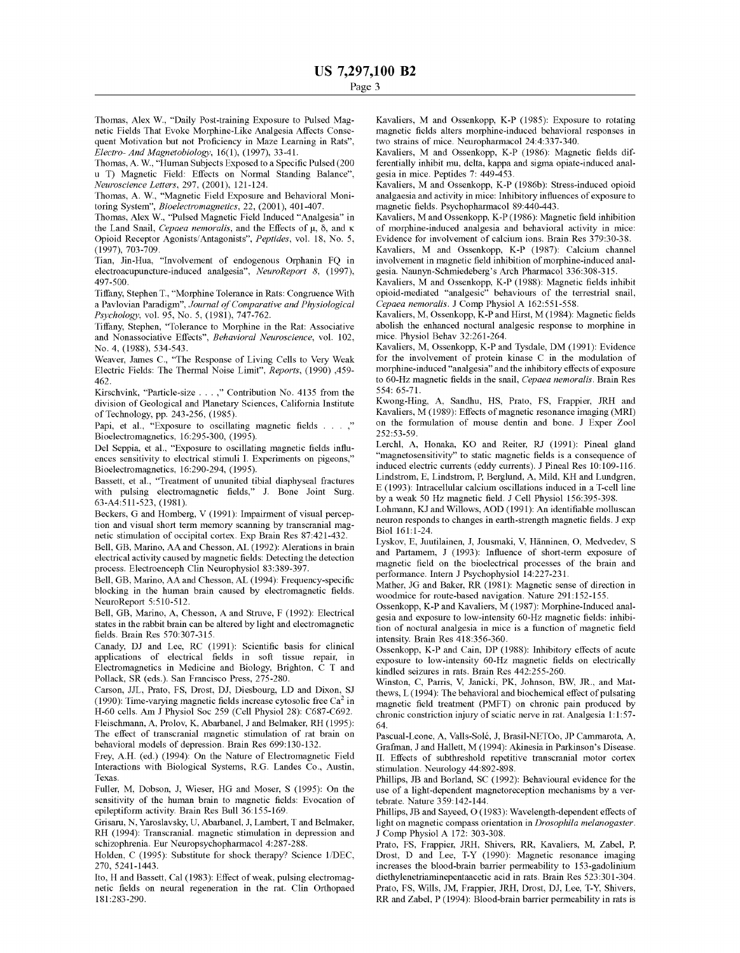Thomas, Alex W., "Daily Post-training Exposure to Pulsed Magnetic Fields That Evoke Morphine-Like Analgesia Affects Consequent Motivation but not Proficiency in Maze Learning in Rats", Electro- And Magnetobiology, 16(1), (1997), 33-41.

Thomas, A. W., "Human Subjects Exposed to a Specific Pulsed (200 u T) Magnetic Field: Effects on Normal Standing Balance", Neuroscience Letters, 297, (2001), 121-124.

Thomas, A. W., "Magnetic Field Exposure and Behavioral Monitoring System", Bioelectromagnetics, 22, (2001), 401-407.

Thomas, Alex W., "Pulsed Magnetic Field Induced "Analgesia" in the Land Snail, Cepaea nemoralis, and the Effects of  $\mu$ ,  $\delta$ , and  $\kappa$ Opioid Receptor Agonists/Antagonists", Peptides, vol. 18, No. 5,  $(1997), 703-709$ 

Tian, Jin-Hua, "Involvement of endogenous Orphanin FQ in electroacupuncture-induced analgesia", NeuroReport 8, (1997), 497-500

Tiffany, Stephen T., "Morphine Tolerance in Rats: Congruence With a Pavlovian Paradigm", Journal of Comparative and Physiological Psychology, vol. 95, No. 5, (1981), 747-762.

Tiffany, Stephen, "Tolerance to Morphine in the Rat: Associative and Nonassociative Effects", Behavioral Neuroscience, vol. 102, No. 4, (1988), 534-543.

Weaver, James C., "The Response of Living Cells to Very Weak Electric Fields: The Thermal Noise Limit", Reports, (1990) ,459-

Kirschvink, "Particle-size . . . ," Contribution No. 4135 from the division of Geological and Planetary Sciences, California Institute of Technology, pp. 243-256, (1985).

Papi, et al., "Exposure to oscillating magnetic fields . . . ," Bioelectromagnetics, 16:295-300, (1995).

Del Seppia, et al., "Exposure to oscillating magnetic fields influences sensitivity to electrical stimuli I. Experiments on pigeons," Bioelectromagnetics, 16:290-294, (1995).

Bassett, et al., "Treatment of ununited tibial diaphyseal fractures with pulsing electromagnetic fields," J. Bone Joint Surg. 63-A4:511-523, (1981).

Beckers, G and Homberg, V (1991): Impairment of visual perception and visual short term memory scanning by transcranial magnetic stimulation of occipital cortex. Exp Brain Res 87:421-432.

Bell, GB, Marino, AA and Chesson, AL (1992): Alerations in brain electrical activity caused by magnetic fields: Detecting the detection process. Electroenceph Clin Neurophysiol 83:389-397.

Bell, GB, Marino, AA and Chesson, AL (1994): Frequency-specific blocking in the human brain caused by electromagnetic fields. NeuroReport 5:510-512.

Bell, GB, Marino, A, Chesson, A and Struve, F (1992): Electrical states in the rabbit brain can be altered by light and electromagnetic fields. Brain Res 570:307-315.

Canady, DJ and Lee, RC (1991): Scientific basis for clinical applications of electrical fields in soft tissue repair, in Electromagnetics in Medicine and Biology, Brighton, C T and Pollack, SR (eds.). San Francisco Press, 275-280.

Carson, JJL, Prato, FS, Drost, DJ, Diesbourg, LD and Dixon, SJ (1990): Time-varying magnetic fields increase cytosolic free  $Ca<sup>2</sup>$  in H-60 cells. Am J Physiol Soc 259 (Cell Physiol 28): C687-C692. Fleischmann, A, Prolov, K, Abarbanel, J and Belmaker, RH (1995): The effect of transcranial magnetic stimulation of rat brain on

behavioral models of depression. Brain Res 699:130-132

Frey, A.H. (ed.) (1994): On the Nature of Electromagnetic Field Interactions with Biological Systems, R.G. Landes Co., Austin, Texas.

Fuller, M, Dobson, J, Wieser, HG and Moser, S (1995): On the sensitivity of the human brain to magnetic fields: Evocation of epileptiform activity. Brain Res Bull 36:155-169.

Grisaru, N, Yaroslavsky, U, Abarbanel, J, Lambert, T and Belmaker, RH (1994): Transcranial. magnetic stimulation in depression and schizophrenia. Eur Neuropsychopharmacol 4:287-288.

Holden, C (1995): Substitute for shock therapy? Science 1/DEC, 270, 5241-1443.

Ito, H and Bassett, Cal (1983): Effect of weak, pulsing electromagnetic fields on neural regeneration in the rat. Clin Orthopaed 181:283-290.

Kavaliers, M and Ossenkopp, K-P (1985): Exposure to rotating magnetic fields alters morphine-induced behavioral responses in two strains of mice. Neuropharmacol 24:4:337-340.

Kavaliers, M and Ossenkopp, K-P (1986): Magnetic fields differentially inhibit mu, delta, kappa and sigma opiate-induced analgesia in mice. Peptides 7: 449-453.

Kavaliers, M and Ossenkopp, K-P (1986b): Stress-induced opioid analgaesia and activity in mice: Inhibitory influences of exposure to magnetic fields. Psychopharmacol 89:440-443.

Kavaliers, M and Ossenkopp, K-P (1986): Magnetic field inhibition of morphine-induced analgesia and behavioral activity in mice: Evidence for involvement of calcium ions. Brain Res 379:30-38.

Kavaliers, M and Ossenkopp, K-P (1987): Calcium channel involvement in magnetic field inhibition of morphine-induced analgesia. Naunyn-Schmiedeberg's Arch Pharmacol 336:308-315.

Kavaliers, M and Ossenkopp, K-P (1988): Magnetic fields inhibit opioid-mediated "analgesic" behaviours of the terrestrial snail, Cepaea nemoralis. J Comp Physiol A 162:551-558.

Kavaliers, M, Ossenkopp, K-P and Hirst, M (1984): Magnetic fields abolish the enhanced noctural analgesic response to morphine in mice. Physiol Behav 32:261-264.

Kavaliers, M. Ossenkopp, K-P and Tysdale, DM (1991): Evidence for the involvement of protein kinase C in the modulation of morphine-induced "analgesia" and the inhibitory effects of exposure to 60-Hz magnetic fields in the snail, Cepaea nemoralis. Brain Res 554: 65-71

Kwong-Hing, A, Sandhu, HS, Prato, FS, Frappier, JRH and Kavaliers, M (1989): Effects of magnetic resonance imaging (MRI) on the formulation of mouse dentin and bone. J Exper Zool 252:53-59.

Lerchl, A, Honaka, KO and Reiter, RJ (1991): Pineal gland "magnetosensitivity" to static magnetic fields is a consequence of induced electric currents (eddy currents). J Pineal Res 10:109-116. Lindstrom, E, Lindstrom, P, Berglund, A, Mild, KH and Lundgren, E (1993): Intracellular calcium oscillations induced in a T-cell line by a weak 50 Hz magnetic field. J Cell Physiol 156:395-398.

Lohmann, KJ and Willows, AOD (1991): An identifiable molluscan neuron responds to changes in earth-strength magnetic fields. J exp Biol 161:1-24

Lyskov, E, Juutilainen, J, Jousmaki, V, Hänninen, O, Medvedev, S and Partamem, J (1993): Influence of short-term exposure of magnetic field on the bioelectrical processes of the brain and performance. Intern J Psychophysiol 14:227-231.

Mather, JG and Baker, RR (1981): Magnetic sense of direction in woodmice for route-based navigation. Nature 291:152-155.

Ossenkopp, K-P and Kavaliers, M (1987): Morphine-Induced analgesia and exposure to low-intensity 60-Hz magnetic fields: inhibition of noctural analgesia in mice is a function of magnetic field intensity. Brain Res 418:356-360.

Ossenkopp, K-P and Cain, DP (1988): Inhibitory effects of acute exposure to low-intensity 60-Hz magnetic fields on electrically kindled seizures in rats. Brain Res 442:255-260.

Winston, C, Parris, V, Janicki, PK, Johnson, BW, JR., and Matthews, L (1994): The behavioral and biochemical effect of pulsating magnetic field treatment (PMFT) on chronic pain produced by chronic constriction injury of sciatic nerve in rat. Analgesia 1:1:57-64.

Pascual-Leone, A, Valls-Solé, J, Brasil-NETOo, JP Cammarota, A, Grafman, J and Hallett, M (1994): Akinesia in Parkinson's Disease. II. Effects of subthreshold repetitive transcranial motor cortex stimulation. Neurology 44:892-898.

Phillips, JB and Borland, SC (1992): Behavioural evidence for the use of a light-dependent magnetoreception mechanisms by a vertebrate. Nature 359:142-144.

Phillips, JB and Sayeed, O (1983): Wavelength-dependent effects of light on magnetic compass orientation in Drosophila melanogaster. J Comp Physiol A 172: 303-308.

Prato, FS, Frappier, JRH, Shivers, RR, Kavaliers, M, Zabel, P, Drost, D and Lee, T-Y (1990): Magnetic resonance imaging increases the blood-brain barrier permeability to 153-gadolinium diethylenetriaminepentaacetic acid in rats. Brain Res 523:301-304. Prato, FS, Wills, JM, Frappier, JRH, Drost, DJ, Lee, T-Y, Shivers, RR and Zabel, P (1994): Blood-brain barrier permeability in rats is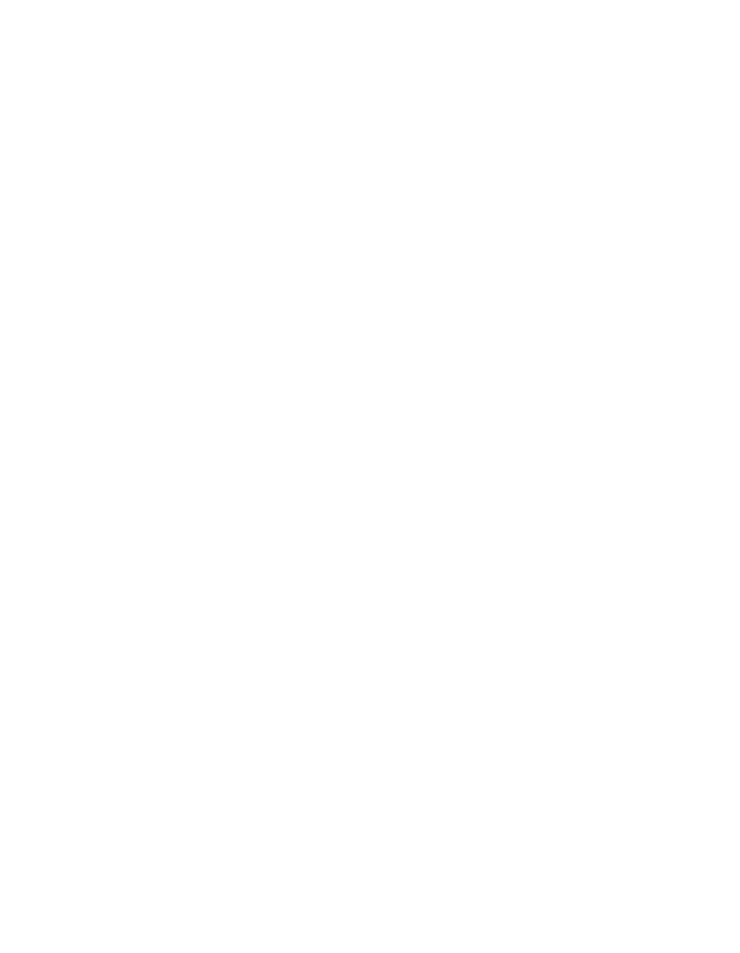altered by exposure to magnetic fields associated with magnetic resonance imaging at 1.5T. Microscopy Research and Technique 27:528-534.

Reiter, RJ (1992): Alterations of the circadian melatonin rhythm by the electromagnetic spectrum: A study in environmental toxicology. Reg Toxicol Pharmacol 15:226-244.

Reiter, RJ and Richardson, BA (1992): Magnetic field effects on pineal indoleamine metabolism and possible biological consequences. FASEB J 6:2283-2287.

Schneider, T. Thalau, H-P and Semm, P (1994): Effects of light or different earth-strength magnetic fields on the nocturnal melatonin concentration in a migratory bird. Neurosci Lett 168:73-75.

Selmaoui, B and Touitou, Y (1995): Sinusoidal 50Hz magnetic fields depress rat pineal NAT activity and serum melatonin: Role of duration and Intensity of exposure. Life Sci 57:1351-1358.

Semm, P and Beason, RC (1990): Response to small magnetic variations by the trigeminal system of the bobolink. Brain Res Bull 25:735-740

Semm, P, Schneider, T and Vollrath, L (1980): Effects of an earth-strength magnetic field on electrical activity of pineal cells. Nature 288:607-608.

Shivers, RR, Kavaliers, M, Teskey, GC, Prato, FS and Pelletier, R-M (1987): Magnetic resonance imaging temporarily alters bloodbrain barrier permeability in the rat. Neurosci Lett 76:25-31.

Sisken, BF, Kanje, J, Lundborg, G and Kurtz, W (1990): Pulsed electromagnetic fields stimulate nerve regeneration in vitro and in vivo. Restor Neurol Neurosci 1:303-309.

Steffensen, B, Caffesse, RG, Hanks, CT, Avery, JK and Wright, N (1988): Clinical effects of electromagnetic stimulation as an adjunct to periodontal therapy. J Periodontol JAN/88 59:1:46-52.

Teskey, GC, Prato, FS, Ossenkopp, K-P and Kavaliers, M (1988): Exposure to time varying magnetic fields associated with magnetic resonance imaging reduces fentanyl-induced analgesia in mice. Bioelectromagnetics 9:2:167-174.

Thomas, AW, Kavaliers, M and Prato, FS (1996): Antinociception ("analgesia") induced by weak extremely low frequency complex neuroelectro-magnetic pulses. Bioelectromagnetics Soc Abstracts 18. in press.

Thomas, AW, Kavaliers, M and Prato, FS (1996): Development of tolerance to the opioid-mediated antinociceptive effects of weak extremely low frequency complex neuroelectromagnetic pulses. Bioelectromagnetics Soc Abstracts 18, in press.

Walleczek, J (1992): Electromagnetic field effects on cells on the immune system: The role of calcium signalling, FASEB J 6:3177-3185.

Walleczek, J and Liburdy, RP (1990): Nonthermal 60 Hz sinusoidal magnetic-field exposure enhances  $45Ca^{2+}$  uptake in rat thymocytes: dependence on mitogen activation. FEBS 271:1,2:157-160.

Zyss, T (1994): Deep magnetic brain stimulation-The end of psychiatric electroshock therapy? Medical Hypotheses 43: 69-74. Kavaliers, M and Ossenkopp, K-P (1993): Repeated naloxone treatments and exposures to weak 60-Hz magnetic fields have "analgesic" effects in snails. Brain Res 620: 159-162

Persinger, MA, Koren, SA, Makarec, K, Richards, P and Youlton, S (1991): Differential effects of wave form and the subject's possible temporal lobe signs upon experiences during cerebral exposure to weak intensity magnetic fields. J Bioelectricity  $10(1&2)$ : 141-184. Richards, PM, Persinger, MA and Koren, SA (1993): Modification of activation and evaluation properties of narratives by weak complex magnetic field patterns that simulate limbic burst firing. Intern J Neurosci 71:71-85.

Gillis, C and Persinger, MA (1993): Shifts in the Plutchik emotion profile indices following three weekly treatments with pulsed vs continuous cerebral magnetic fields. Perceptual and Motor Skills 76:168-170.

Tiller, SG and Persinger, MA (1994): Enhanced hypnotizability by cerebrally applied magnetic fields dependes upon the order of hemispheric presentation: An anisotropic effect. Intern J Neurosci 79:157-163.

Persinger, MA, Richards, PM and Koren, SA (1994): Differential ratings of pleasantness following right and left hemispheric application of low energy magnetic fields that stimulate long-term potentiation. Intern J Neurosci 79:191-197.

Bureau, YRJ and Persinger, MA (1995): Decreased incidence of limbic motor seizures following twenty pairings of subclinical lithium-pilocarpine injections and a complex "burst-firing" magnetic field. Electro- and Magnetobiology 14(1):1-6.

Persinger, MA, Ludwig, HW and Ossenkopp, K-P (1973): Psychophysiological effects of extremely low frequency electromagnetic fields: a review. Perceptual and Motor Skills, Monograph Supplement 3-V36. 36:1131-1159.

Persinger, MA (1988): The Modern Magnetotherapies, in Marion AA (ed.) Modern Bioelectricity, NY, Dekker:589-627.

Persinger, MA (1995): On the possibility of directly accessing every human brain by electromagnetic induction of fundamental algorithms. Perceptual and Motor Skills 80:791-799.

Adey, WR (1973): The influences of impressed electrical fields at EEG frequencies on brain and behavior. Behavior and Brain Electrical Activity, BURCH, [ ] and Alshuler, [ ], eds., NY, Plenum: 363-390.

Fleming, JL, Persinger, MA and Koren, SA (1994): Magnetic pulses elevate nociceptive thresholds: comparisons with opiate receptor compounds in normal and seizure-induced brain-damaged rats. Electro- and magnetobiololgy 13(1):67-75.

Choleris, E., et al., "A detailed ethological analysis of the mouse open field test: effects of diazepam, chlordiazepoxide and an extremely low frequency pulsed magnetic field," Neuroscience and Biobehavioral Reviews, 25:235-260, (2001).

Prato, F.S., et al., "Extremely low frequency magnetic fields can either increase or decrease analgaesia in the land snail depending on field and light conditions," Bioelectromagnetics, 21:287-301,  $(2000)$ 

Prato, F.S., et al., "Human standing balance is affected by exposure to pulsed ELF magnetic fields: light intensity-dependent effects," NeuroReport, 12:1-5, (2001).

Thomas, A.W., et al., "A comparison of rheumatoid arthritis and fibromyalgia patients and healthy normal controls exposed to a pulsed (200 µT) magnetic field: effects on normal standing balance," Neuroscience Letters, 309:17-20, (2001).

Thomas, A.W., et al., "Human subjects exposed to a pulsed (200 µT) magnetic field: effects on normal standing balance," Neuroscience letters, 297:121-124, (2001).

Thomas, A.W., et al., "Magnetic field exposure and behavioral monitoring system," Bioelectromagnetics, 22:401-407, (2001).

Del Seppia C., et al., "Exposure to a hypogeomagnetic field or to oscillating magnetic fields similarly reduce stress-induced annualise in C57 mice," Life Sciences 66:1299-1306 (2000).

Deutschlander, ME., et al., "The case of light-dependent magnetic orientation in animals," J. Exp. Biol., 202:891-908, (1999).

Choleris, E., "Shielding but not zeroing of the ambient magnetic field reduces stress-induced analgesia in mice," The Royal Society,  $(2001).$ 

\* cited by examiner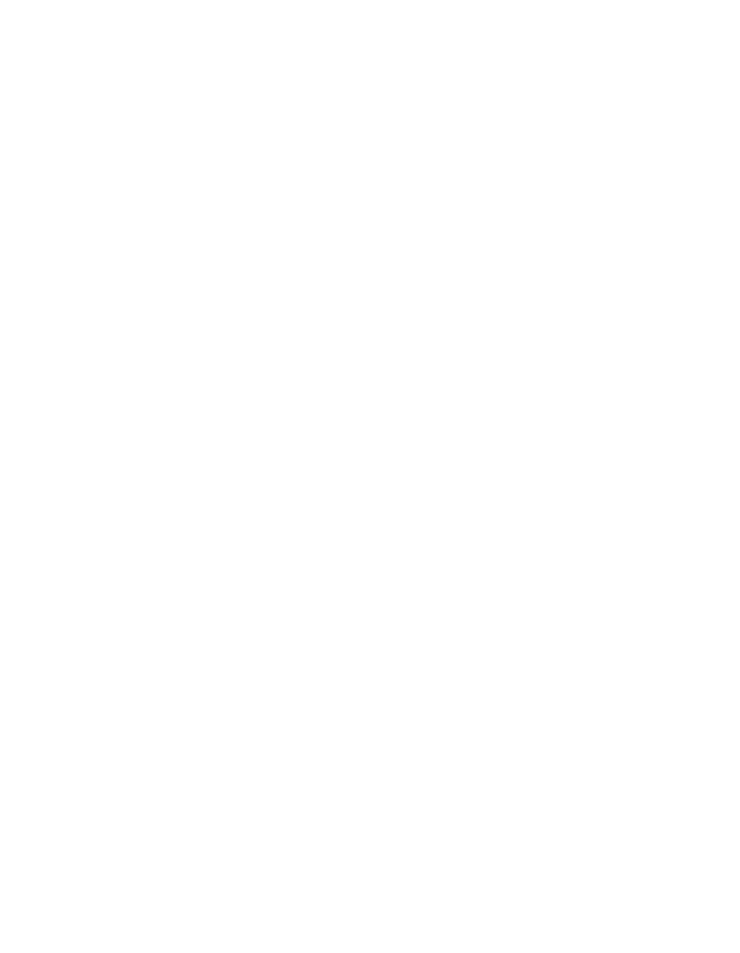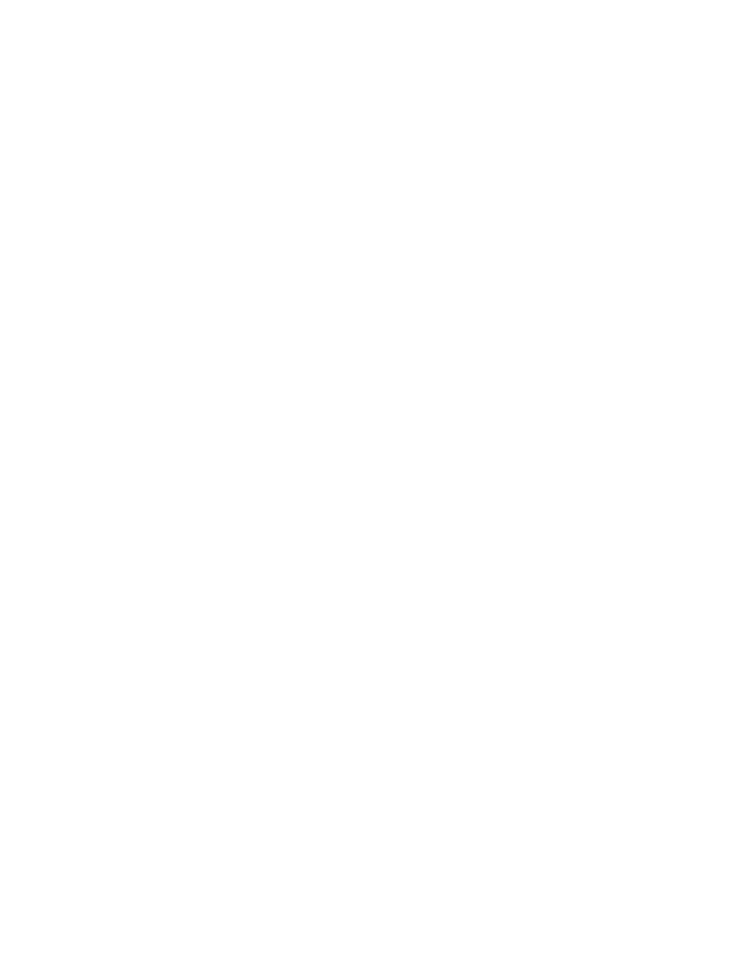



**FIG. 4**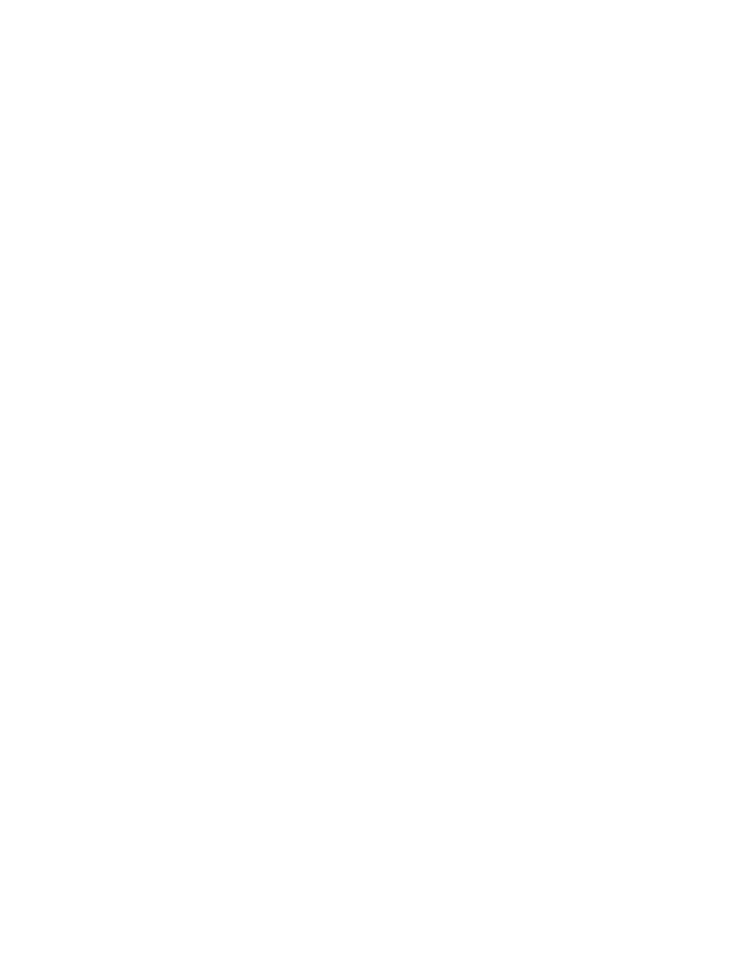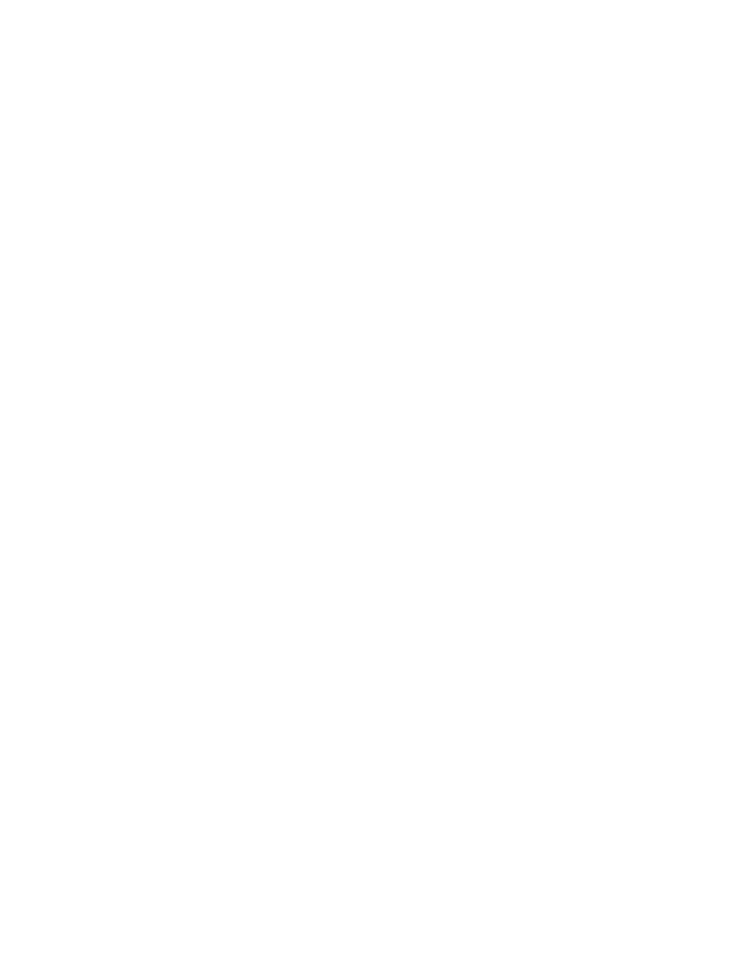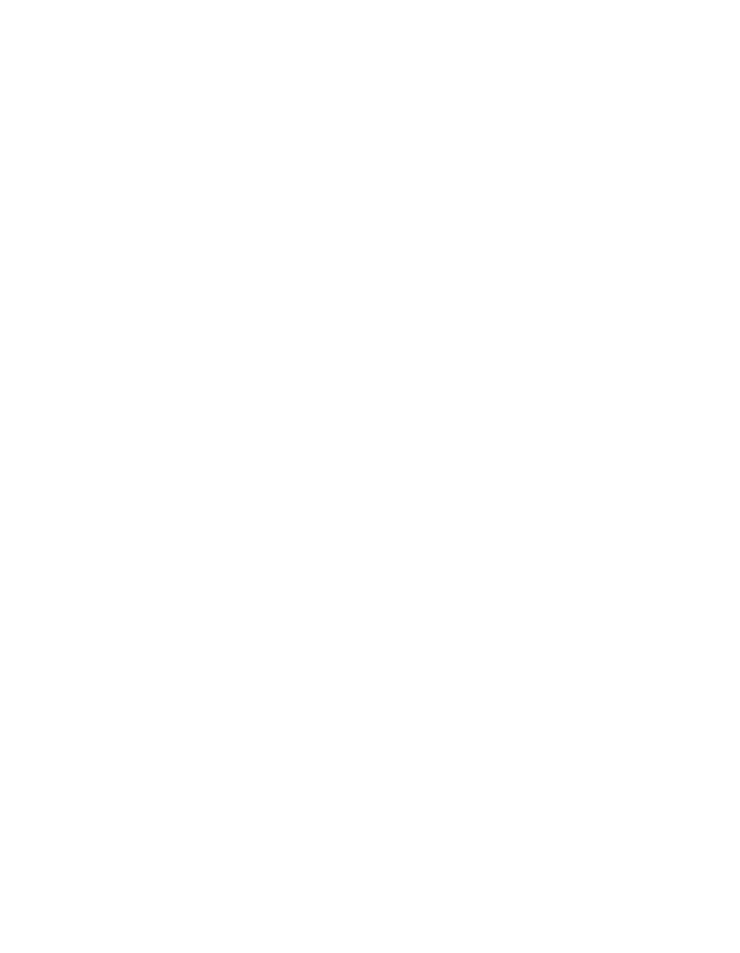# DEVICE FOR MAGNETIC AND ELECTRIC **FIELD SHIELDING**

#### RELATED APPLICATIONS

This application is a continuation under  $35 \text{ U.S.C. } 111(a)$ of PCT/CA01/00829 filed Jun. 7, 2001 and published in English as WO 01/93949 A1 on Dec. 13, 2001, which claims priority from U.S. Provisional Patent Application Ser. No.: 60/210,478 filed Jun. 9, 2000, which application and pub- 10 lication are incorporated herein by reference.

# FIELD OF INVENTION

The invention relates to the use of magnetic shielding and  $15$ magnetic field stimulation in a method for the treatment, diagnosis and assessment of disease. The invention also provides a device for the shielding of magnetic fields for therapy and treatment of disease.

# BACKGROUND OF THE INVENTION

It has been demonstrated that an animals' behaviour can be altered by exposure to extremely low frequency (ELF) 25 magnetic fields. This includes navigation, migration and homing in birds, insects and newts (Deutschlander et al, 1998) and alteration of opioid-induced analgesia in molluscs, birds and rodents (Betancur et al, 1994). There is also evidence that extremely low frequency magnetic fields have effects on behaviour in humans (Thomas et al, 1998; Papi et al, 1995). Increasing evidence suggests that pulsed ELF fields, also called Cnps, can be used for both therapeutic (Thomas et al, 1998) and diagnostic (Thomas et al, 2000) purposes. However, the magnetic field intensities required  $35$ for diagnostic and treatment uses are approximately 40 to 200  $\mu$ T, a magnetic field intensity similar to the Earth's magnetic field. The electric power required to generate fields of such intensity is very large and requires a fixed and relatively expensive apparatus.  $40\,$ 

Recent experiments have demonstrated that under ELF magnetic field shielding, rodents could sense the absence of weak  $(<0.1 \mu T$ ) ELF fields (Del Seppia et al, 2000). Stressinduced analgesia appeared to be attenuated or abolished in mice placed in a magnetic field shielded box where there is  $_{45}$ an absence of ambient ELF fields when the wide-spectrum geomagnetic field is effectively zeroed. Under geomagnetic shielded conditions, animals appeared sensitive to weak ELF magnetic fields. Under shielded conditions, the behaviour of mice was modified by the absence of an ELF  $50$ magnetic field of  $0.1 \mu T$  intensity compared to a nominal 10-100 μT MF needed to modify behaviour (Choleris et al,  $2001$ ).

It has also been demonstrated (Kavaliers and Ossenkopp, 1993) that exposure to ELF magnetic fields (circa 100  $\mu$ T) 55 can attenuate opioid-induced analgaesia. Paradoxically, it has been suggested that daily repeated exposures to such ELF fields may induce analgesia (Kavaliers and Ossenkopp, 1985, 1993).

The Applicant has now developed a method involving 60 daily repeated exposures to reduced ambient fields to induce analgesia in humans for clinical use. The Applicant has demonstrated that analgesia may be effectively achieved in humans by daily repeated exposures in a magnetically shielded room. Analgesia of individual body parts may also 65 be surprisingly achieved by repeated magnetic shielding of that part or of a related anatomical target implicated in the

creation of the pain, i.e. a related pain center, as alternative to shielding the entire body within a magnetically shielded room.

The Applicant has demonstrated that pulsed ELF fields of approximately  $100 \mu$ T may be generated within a portable, battery-operated device that can effectively provide intensity fields to a specified, location in order to alleviate a variety of disorders. Lower intensity fields may also be effectively utilized with simultaneously shielding of the target tissue from external ambient ELF fields including the Earth's geomagnetic field. This renders portable ELF and pulsed ELF magnetic field therapy devices useful for both diagnosis and treatment of disease.

# SUMMARY OF THE INVENTION

The present invention is directed to methods and devices using magnetic shielding and magnetic field stimulation for the treatment (i.e. pain treatment), diagnosis and assessment  $_{20}$  of disease. The devices of the invention comprise in one embodiment a magnetic field shield. In another embodiment the device comprises a magnetic field generator covered by or embedded within a magnetic field shield. The shield can be targeted to the whole body (i.e. a room can be shielded), or it can be a portable shield device used to target a pain trigger point (e.g. a sleeve covering a limb). It is understood that a magnetic field shield also provides electric field shielding.

In one embodiment, the device of the present invention for providing diagnostic and therapeutic effects comprises a portable magnetic field shield and a weak pulsed magnetic field generator within that shield. This generator may utilize either household current or batteries as sources of electrical power. In a further embodiment of the invention, the device may comprise solely an effective magnetic field shield such as a magnetically shielded room where daily exposures of about 2 hours per day provides pain relief to humans and animals experiencing acute or chronic pain.

Acute exposure (approximately 30 minutes duration) in a shielded room to Cnps of the order of 0.1 µT in intensity is therapeutic for the treatment of pain, anxiety and depression. The Cnps which are preferred for use in the method and devices of the present invention are as described in Applicant's U.S. Pat. No. 6,234,953 (the entirety of which is incorporated herein by reference). Such Cnps are useful when of 10 to 1000 times smaller magnitude. Such an acute set of Cnps exposures in a shielded room allows for the diagnosis and classification of disease and disability.

According to an aspect of the invention is method for the treatment of physiological disorder in a subject, the method comprising shielding of ambient magnetic fields over the entire body or a portion of the body of a subject for a time effective to reduce and/or alleviate the physiological disorder.

In accordance with another aspect of the present invention is a method for the treatment of acute or chronic pain in a subject, the method comprising repeatedly shielding of ambient magnetic fields over the entire body or a portion of the body of the subject for a time effective to reduce and/or alleviate the acute or chronic pain.

In accordance with another aspect of the present invention is a method for the treatment, diagnosis and/or assessment of diseases in a subject, the method comprising repeatedly shielding of ambient magnetic fields over the entire body or a portion of the body of the subject and simultaneously providing ELF magnetic fields. The subject may be a human or animal.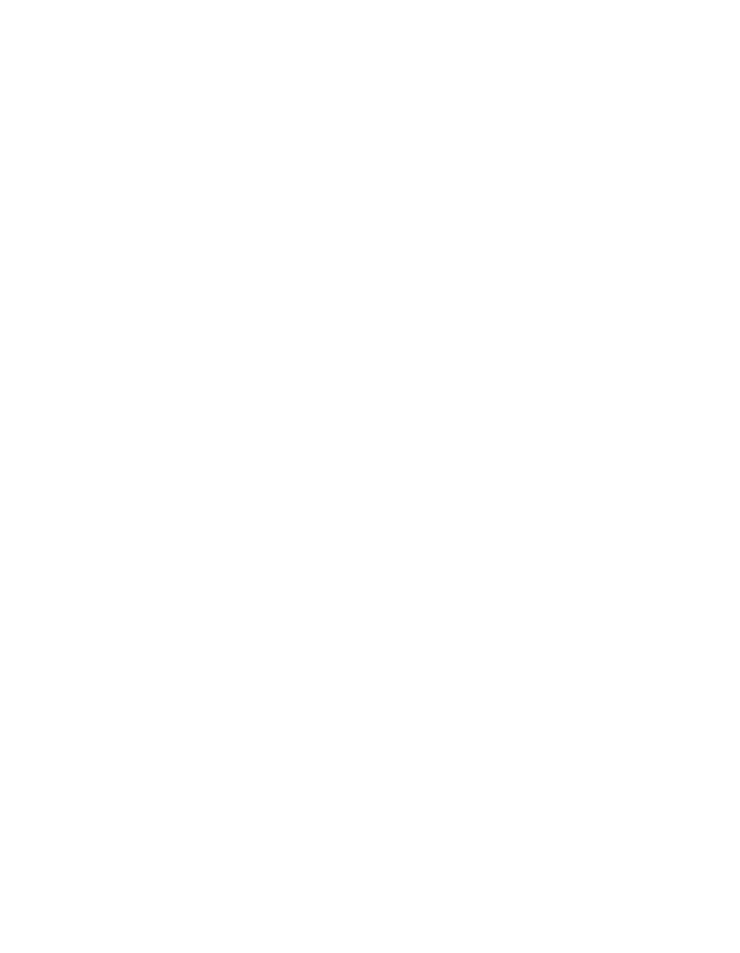$\sim$ 

 $35<sub>o</sub>$ 

 $40<sup>°</sup>$ 

45

65

In accordance with still another aspect of the present invention is a method for the treatment of physiological disorder in a subject, the method comprising simultaneously shielding of ambient magnetic fields over the entire body or a portion of the body of a subject and providing extremely low frequency (ELF) magnetic fields for a time effective to reduce and/or alleviate the physiological disorder.

It is preferred that the intensity of magnetic field stimulation needed for therapeutic and diagnostic procedures is reduced 10- to 1000-fold if the magnetic field stimulation is 10 carried out under ambient magnetic field shielded conditions.

According to a further aspect of the present invention is the use of a portable wearable magnetic shield for treating localized acute or chronic pain in a subject.

According to still a further aspect of the invention is the use of a portable wearable shield simultaneously with magnetic field therapy for treating localized acute or chronic pain in a subject.

According to still a further aspect of the invention is the 20 use of a portable wearable shield simultaneously with magnetic field therapy for treating skeletal abnormalities, such as but not limited to non-union bone fractures or osteoporosis.

According to another aspect of the present invention is a portable magnetic field therapy device, the device compris- 25 ing a magnetic shield comprising a material with high magnetic susceptibility, wherein said shield is configured to adapt to an anatomical region.

According to another aspect of the present invention is a wearable, portable magnetic field therapy device, the device 30 comprising a magnetic field shield wrap and a magnetic field generating coil. The coil may be battery-operated.

According to another aspect of the present invention is a portable magnetic field therapy device, the device compris $inc:$ 

- a magnetic shield comprising a material with high magnetic susceptibility, wherein said shield is configured to adapt to an anatomical region
- a magnetic field generating coil associated with said magnetic shield; and
- a power source operably connected to said magnetic field generating coil.

According to another aspect of the present invention is a portable magnetic field therapy device, the device comprising;

- a textile portion which is securable to an anatomical region by way of fasteners; and
- a magnetic shield comprising a material with high magnetic susceptibility, wherein said shield is configured to adapt to an anatomical region, wherein said magnetic 50 shield is secured to said textile portion.

Other aspects, features and advantages of the present invention will become apparent from the following detailed description. It should be understood, however, that the detailed description and the specific examples while indi- 55 cating preferred embodiments of the invention are given by way of illustration only, since various changes and modifications within the spirit and scope of the invention will become apparent to those skilled in the art from the detailed description. 60

# BRIEF DESCRIPTION OF THE DRAWINGS

The invention will now be described in relation to the drawings in which:

FIG. 1 shows a shielded trigger point and shielded Cnps coil on a human arm.

FIG. 2 shows a portable, magnetic field shield designed as a sleeve over a limb, and insulated coils placed under the shield used to produce cnps.

FIG. 3 shows a wearable portable, battery-operated Cnps generator inside a magnetic field shield.

FIG. 4 shows a circuit for a shielded portable Cnps device. FIG. 5 shows the attenuation of magnetic fields as a function of frequency for a typical mu-metal box.

FIG. 6 shows nociceptive response of CD-1 mice exposed to a Control condition box, a mu-metal box, a Copper box, or a 3-D zeroed MF condition.

FIG. 7 shows analgesia effects in mice exposed to a magnetic field limiting mu-metal chamber for 60 min. each day for 5 days.

## DETAILED DESCRIPTION OF THE PREFERRED EMBODIMENTS

The applicant has now demonstrated that magnetic field shielding alone or in conjunction with the application of ELF magnetic fields is useful and effective for the treatment of a variety of disorders in humans and animals. Such disorders include but are not limited to acute pain, chronic pain, anxiety, depression, phantom pain, orthopaedic disorders and psychiatric disorders.

The present invention uses magnetic field shielding either alone or in combination with low intensity magnetic fields to provide treatment, assessment and diagnosis of disease in a subject. This may be accomplished by magnetic shielding to an entire body in a shielded room or a selected body portion by the use of small wearable and portable devices (FIGS. 1, 2 and 3). Subjects suffering from pain for example, may simply wear one or more magnetic shield( $s$ ) over the appropriate trigger point(s) for a few hours a day.

Magnetic field shielding can also be used to diagnose a disease state or disorder based on differential physiological effects as a result of magnetic field exposure.

In one embodiment, magnetic shielding in the form of a small wearable and portable Cnps device is particularly useful for the treatment of pain, anxiety and depression. The Cnps magnetic field generator powered by a battery source (FIG. 4) is embedded into or attached onto the inside of a magnetic shield. Using such a device results in rapid pain relief occurring within 30 minutes of the application. In contrast, in another embodiment of the invention, is a shield alone that provides pain relief within hours or days (FIG. 7).

It is therefore advantageous, but not required to use is a shielded Cnps treatment for the first day or two followed by maintenance with the shield alone for the treatment of pain.

FIG. 4 shows a circuit for a shielded portable Cnps device of the present invention. One battery powers a microchip programmed with the relevant Cnps pulse while the second battery provides power to the miniature amplifier which is then connected to the transformer wire embedded into insulator located on the inside of the magnetic shield. One skilled in the art would understand that a variety of modifications can be made to such device and circuit so long as a suitable magnetic field be generated.

Magnetic field shielding is designed for attenuation of ELF frequencies from zero (shielding to the static Earth's geomagnetic field) to 2 kHz by an approximate factor of 10 or more (FIG. 5). Materials with high magnetic susceptibility are preferred for use as a magnetic shield device in the present invention which could include but are not limited to metals such as iron or nickel and proprietary metals like mu-metal and combinations thereof.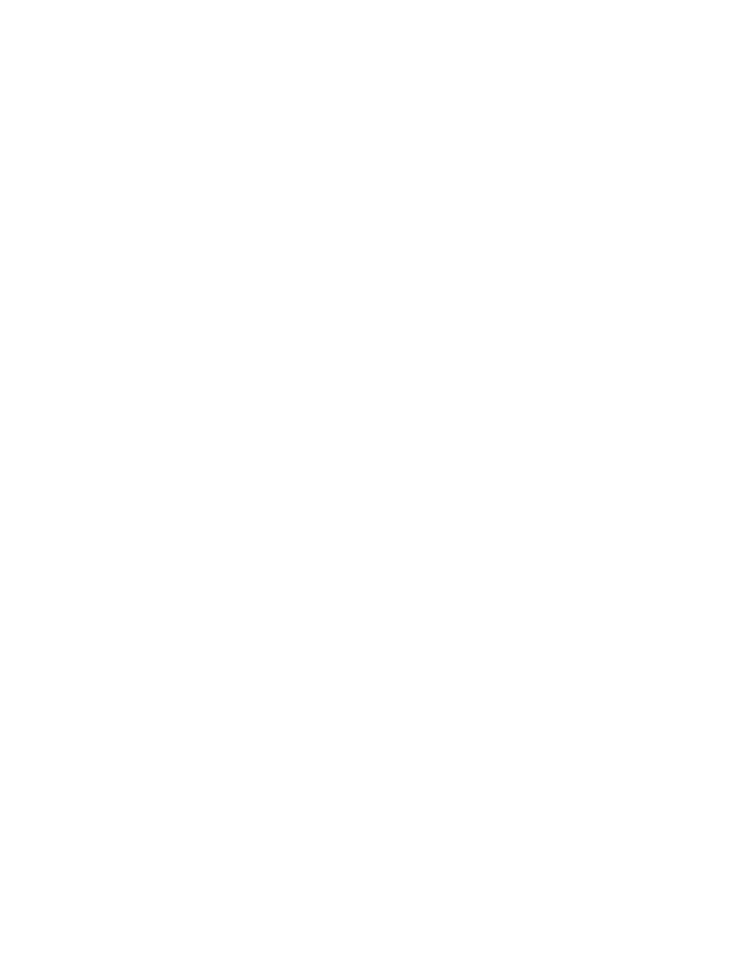50

60

Magnetic shielding for therapy and diagnosis can be used in two different ways: a) with only the shield, and b) with a Cnps magnetic field generator which produces an ELF magnetic field in a target tissue which is shielded from ambient magnetic fields other than those produced by the 5 Cnps generator.

# Magnetic Field Shield Alone

Two forms of treatment are possible with the magnetic shield alone: a) one in which the entire body is treated in a shielded room, and the other b) in which only part of the body is treated using a "wearable" magnetic shield.

ELF Magnetic field shielding increases as one moves towards the center of the device away from its open ends. The shield must be designed such that the tissue to be treated is shielded by at least a factor of 10. This may result in different designs incorporating different shielding metals at different distances from the open ends of the magnetic shield. It is understood by one of skill in the art that the device can be of several different types of designs. For example, in one design, the sleeve is a permanent thin <sup>20</sup> cylinder while in the other design, it can open and close through the use of soft shielding metal and end overlap secured by a fastener such as Velcro™ strips. Another design can be configured for tight fitting around anatomical joints such as a wrist or an ankle. Still yet in another design, one <sup>25</sup> end of the cylinder is capped for placement over the end of a body part such as the foot, hand or head.

#### Whole-Body Treatment

For the whole-body treatment, the subject is put into a  $_{30}$ shielded room for a minimum of approximately 1 hour a day everyday. This provides relief from widespread chronic pain. Subjects with acute pain of only a few days of anticipated duration should not be so treated as the exposure for the first two or three days will not provide significant  $35$ relief (FIG. 7). In fact, for subjects with chronic pain, it is preferred that the first few days of treatment be combined with other physical (Cnps) or pharmacological pain treatments. For severe chronic pain, subjects may increase their number of sessions from 1 per day to 2 or 3 equally spaced  $\Delta$ periods per day and/or exposure durations increased.

# Partial-Body Treatment

For the treatment of pain in part of the body that can be treated locally, i.e. with a local anaesthetic, a wearable shield is more convenient, economical and desirable than whole-45 body treatment. For pain anticipated to be endured more than a week, subjects may attach a portable/wearable shield  $(FIGS. 1, 2)$  for one to three 1-2-hour periods a day. This can be continued with other physical (e.g. Cups) or pharmaceutical treatments for pain relief.

#### Magnetic Field Shield Combined with a Cnps Generator

Two forms of treatment are encompassed by the present invention: a) one in which the entire body or portions of the body are exposed to Cnps magnetic fields while the entire body is magnetically shielded from external non-Cnps fields, and b) one in which only part of the body is treated using a "wearable" device comprised of a magnetic shield and Cnps generator (FIG. 4, 5).

# Whole-Body/Large Portions of Body Treatment

In a magnetically shielded room, the subject's whole body or large portions of the subject's body are treated with Cnps pulses. These treatments may be for any condition for which Cnps or other magnetic fields are effective, including diagnostic use. The field strengths used will be 10 to 1000 times 65 lower than those needed in an unshielded room. The subjects can be treated for either acute or chronic conditions with or

without other medications including physical (electro-convulsive shock) or pharmaceutical. Treatments can be 1 to 10 times per day as treatment periods will usually be less than 30 minutes each for therapeutic use and diagnostic use may require as little as only one session.

#### Partial Body Treatment

For the treatment of the brain in psychiatric disorders or for diagnostic testing when only part of the body is to be exposed to Cnps, wearable devices as shown in FIGS. 2 and 3 are much more convenient, not requiring a magnetically shielded room. For the ambulatory subject, a battery-operated device is best. For the treatment of acute pain lasting less than a week, the subject can wear the device continually and the Cnps fields can be cycled on for 30 minutes every 2 hours. For subjects in chronic pain, treatment for the first week would be same as for the subject in acute pain but after the first week, Cnps fields would be generated less and the device removed for all but for about three 2 hr periods per day. For other acute treatments such as depression, the Cnps may be applied approximately daily for 30 min periods with an extremity-designed device (FIG. 2).

It is important for the generator to produce a fairly uniform field near the center of the shield. Therefore, Helmholz or Merritt volume coil designs are preferred. These coils are embedded into an electrical insulator located between the magnetic shield and the inside surface of the device. As with the shield shown in FIG. 2, there is the same need for permanent cylindrical designs and those that can open. Electrical connectors will be needed at the openings for the volume coils to maintain electrical integrity.

It is understood by one of skill in the art that the magnetic shield device either alone or having a magnetic field generator incorporated therein may be provided secured by various means to a textile type of "bandage" that is durable and stretchable and can be tightly affixed to a particular anatomical region and held together by fasteners.

It is further understood by one of skill in the art that the Cnp can be delivered by surface coils rather than volume coils especially if the target is a small region such as a pain trigger point. When such surface coils are used electrical conductors may not be needed at the openings of partial body magnetic shields.

Lastly, it is also understood that one of skill in the art could readily use magnetic shielding and magnetic fields (Cnps) to devise effective treatment regimes for a variety of disorders in a subject based on the present teachings. All such treatment and usage regimes are encompassed within the scope of the present invention. As such a variety of portable magnetic shield devices alone or in combination with a Cnps generator may be developed in addition to that specifically described herein and still fall within the scope of the presently described and claimed invention.

#### **EXAMPLES**

The examples are described for the purposes of illustration and are not intended to limit the scope of the invention. Methods involves in magnetic field generation referred to but not explicitly described in this disclosure and examples are reported in the scientific literature and are well known to those skilled in the art.

#### Example 1

Analgesic Effects of Magnetic Field Shielding in Mice

The effects of a 90 min. exposure of mice to the reduced ambient magnetic fields while enclosed in a mu-metal box was demonstrated (FIG. 6). FIG. 5 shows the amount the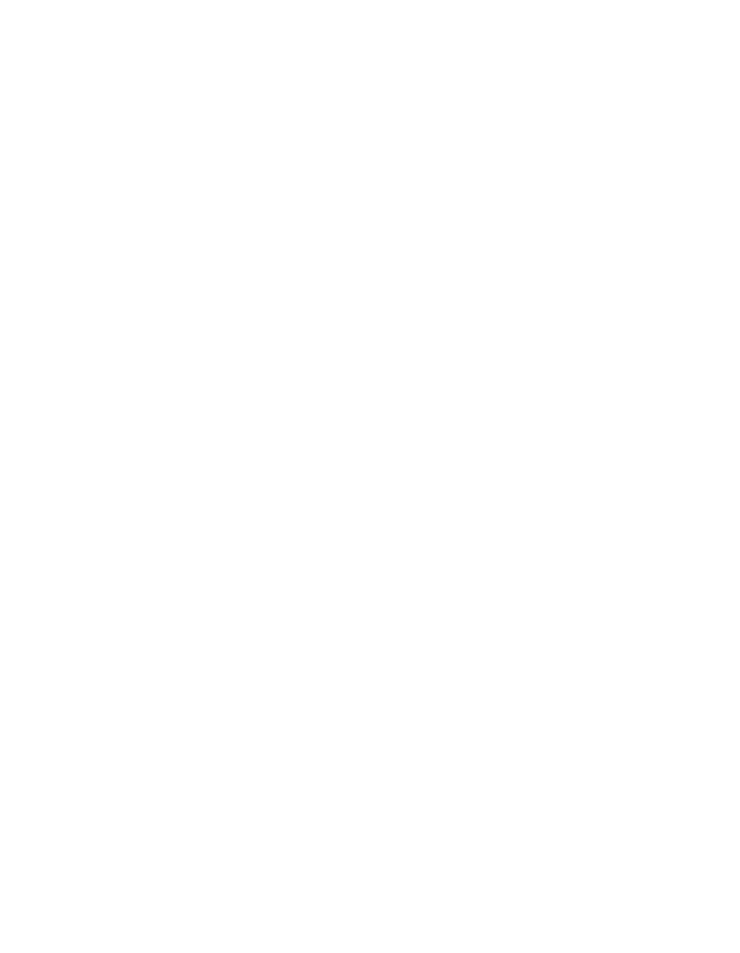15

 $40 \overline{)}$ 

 $45$ 

60

magnetic fields are shielded by the mu-metal box. Following the 90 min. exposure, analgesia was induced in the mice and then the mice were tested 30 min. later for increased analgesia and compared to analgesic levels prior to entry into the mu-metal box. Note that the single 90 min. in the 5 mu-metal box reduced the analgesic levels but 90 min. in a control box which does not shield for electric or magnetic fields, had no effect and 90 min. in a copper box, which screens for electric fields, also had no effect Similarly just zeroing the static component of the ambient magnetic field 10 and exposing mice to the zeroed static field had no effect. This indicates that 1) when in a low magnetic field environment mouse behaviour is altered by the absence of weak extremely low frequency magnetic fields  $(<0.1 \mu T$ ) and 2)the first exposures shielded ambient magnetic fields may increase sensitivity to pain if the patient is on an analgesic and 3) in a magnetically shielded environment exposures to fields as weak as  $0.1 \mu T$  can alter analgesic behaviour.

Repeated exposures to shielded ambient magnetic fields will was demonstrated to induce analgesia in mice (FIG. 7). 20 CD-1 mice were pre-tested on a hotplate  $(50^{\circ} C.)$  for latency to a foot-lick (recorded in sec.). Increase of latency over pre-tested values indicates an analgesic effect. After pre-test mice were placed within a magnetic field limiting mu-metal chamber for 60 min. and then re-tested on a hotplate for 25 foot-lick latency each day for 5 days. The ratio of foot-lick latency is used to normalize for individual differences and is the re-test time divided by the pretest time. A ratio greater than 1 represents the induction of nociception (analgesia). The induction of analgesia is significant  $[F1,11=6.76, 30]$  $P=0.025$ , Eta<sup>2</sup>=0.38] when examining pre-test vs re-test and also increases significantly from day 1 through day 5 [F4, 8=8.31, P=0.006, Eta<sup>2</sup>=0.63]. Hence patients exposed just to magnetic field shielding for 1 hour per day will begin experiencing pain relief by the third or fourth day.

#### Example 2

Magnetic Shielding Treatment-Cancer Subjects-Chronic Pain

A subject with terminal cancer and in chronic pain schedules receives treatment in a magnetically shielded room for a morning period of 1 to 2 hours and a period of an additional 2 hours around the dinner hour. This allows the subject to reduce morphine use and, being more alert during these periods, is in a better state to enjoy meals and visits during breakfast and dinner. For the first week only, the subject is exposed to a Cnps generator while in the shielded room.

### Psychiatric Subject in a Drug-Resistant Depression

The subject receives a 30-minute treatment once a day in the morning with a shielded Cnps exposure system. The system is placed over the head. The subject no longer requires anti-depressants with their annoying side-effects or <sup>55</sup> electroconvulsive shock therapy with the required anaesthetic and does not have fears of memory loss from the procedure.

#### Acute Treatment of Arthritis Pain

A middle-aged man may prepare for an afternoon game of golf by strapping on two shielded Cnps devices, one over a painful wrist and the other over an arthritic ankle. Switching on the two devices enroute between home and golf course, provides relief in both sites. During the game, the wrist unit 65 may be removed and the ankle unit turned off. Between the first and second 9 holes, treatment may be resumed.

Chronic Treatment of Arthritis Pain

A middle-aged woman suffering from chronic rheumatoid arthritis pain in both wrists may wear a shielded Cnps unit during the day, having it programmed to turn on and off once every 2 hours during the day. At night, the unit may be removed and pain medication may be taken prior to bed. The pharmaceutical pain medication is more effective because physiological tolerance is delayed as the same medication (or a reduced dose) does not have to be taken during the day.

## Chronic Treatment of Phantom Limb Pain

An amputee suffering from debilitating phantom limb pain from the removal of one arm below the elbow may wear a shielded Cnps device continually. The device has three programmed modes. During the day, it switches on for 30 minutes every 2 hours, generating a Cnps pulse in the target tissue. During the evening, the magnetic shield itself provides pain relief provided geomagnetic-like fields are intermittently generated by the coils inside the shield. This exposure pattern is controlled by a programmed microprocessor which is part of the Cnps generator (FIG. 3).

### Treatment with other ELF Magnetic Fields

A subject suffering from a non-union fracture has a shield and an ELF magnetic field generator built into a limb cast. The subject's non-union fracture is exposed for 3 hours per day to pulsed ELF magnetic fields shown to stimulate union, during which time, the subject can be ambulatory. In the past, the subject would have had to report to a clinic to be exposed, but due to the shielding, much lower intensity fields can be used and these can be provided by a battery. Subjects suffering from other orthopaedic diseases such as osteoporosis can also be treated in the home a few hours a day using similar wearable devices.

The above disclosure generally describes the present invention. A more complete understanding can be obtained by reference to the following specific Examples. These Examples are described solely for purposes of illustration and are not intended to limit the scope of the invention. Changes in form and substitution of equivalents are contemplated as circumstances may suggest or render expedient. Although specific terms have been employed herein, such terms are intended in a descriptive sense and not for purposes of limitation.

### **BIBLIOGRAPHY**

Betancur C., Dell'Olmo G., Alleva E. Magnetic field effects on stress-induced analgesia in mice: Modulation by 50 light. Neurosci Lett1994, v182, p147-150.

Choleris E., Del Seppia C., Thomas A.W., Luschi P, Ghione S, Papi F, Prato FS. Shielding but not zeroing of the ambient magnetic field reduces stress-induced analgesia in mice; submitted to Proc R Soc Lond B, June 2001.

Del Seppia C., Luschi P., Ghione S., Crosio E., Choleris E., Papi F. Exposure to a hypogeomagnetic field or to oscillating magnetic fields similarly reduce stress-induced annualise in C57 mice. Life Sciences, 2000, v66, p1299-1306.

Deutschlander M.E., Phillips J.B., Borland S.C. The case for light-dependent magnetic orientation in animals.  $J Exp$ Biol 1999, v202, p891-908.

Kavaliers M., Ossenkopp K.P. Tolerance to morphineinduced analgesia in mice: magnetic fields function as environmental specific cues and reduce tolerance development. Life Sciences 1985, v37, 1125-1135.